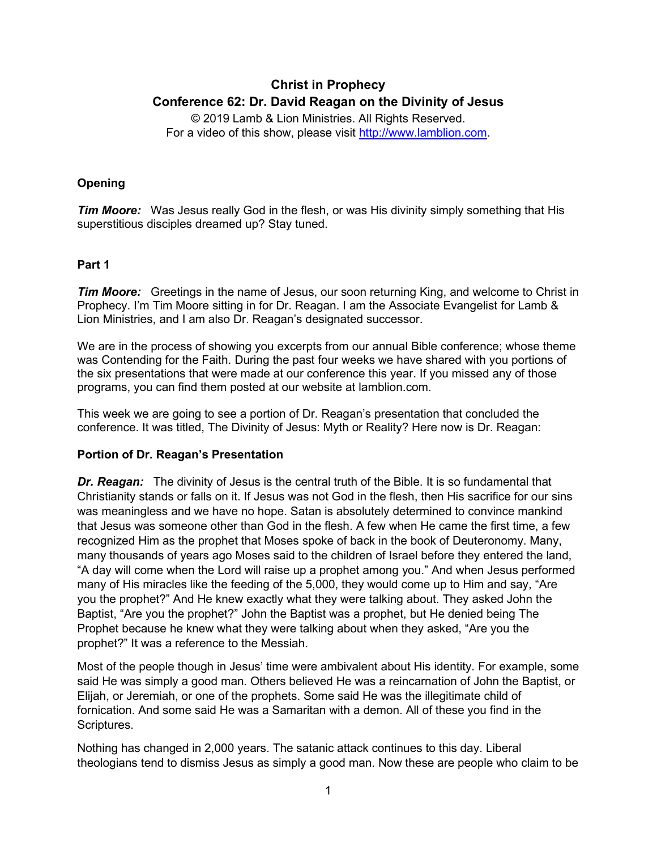# **Christ in Prophecy Conference 62: Dr. David Reagan on the Divinity of Jesus**

© 2019 Lamb & Lion Ministries. All Rights Reserved. For a video of this show, please visit [http://www.lamblion.com.](http://www.lamblion.com/)

## **Opening**

*Tim Moore:* Was Jesus really God in the flesh, or was His divinity simply something that His superstitious disciples dreamed up? Stay tuned.

## **Part 1**

*Tim Moore:* Greetings in the name of Jesus, our soon returning King, and welcome to Christ in Prophecy. I'm Tim Moore sitting in for Dr. Reagan. I am the Associate Evangelist for Lamb & Lion Ministries, and I am also Dr. Reagan's designated successor.

We are in the process of showing you excerpts from our annual Bible conference; whose theme was Contending for the Faith. During the past four weeks we have shared with you portions of the six presentations that were made at our conference this year. If you missed any of those programs, you can find them posted at our website at lamblion.com.

This week we are going to see a portion of Dr. Reagan's presentation that concluded the conference. It was titled, The Divinity of Jesus: Myth or Reality? Here now is Dr. Reagan:

### **Portion of Dr. Reagan's Presentation**

**Dr. Reagan:** The divinity of Jesus is the central truth of the Bible. It is so fundamental that Christianity stands or falls on it. If Jesus was not God in the flesh, then His sacrifice for our sins was meaningless and we have no hope. Satan is absolutely determined to convince mankind that Jesus was someone other than God in the flesh. A few when He came the first time, a few recognized Him as the prophet that Moses spoke of back in the book of Deuteronomy. Many, many thousands of years ago Moses said to the children of Israel before they entered the land, "A day will come when the Lord will raise up a prophet among you." And when Jesus performed many of His miracles like the feeding of the 5,000, they would come up to Him and say, "Are you the prophet?" And He knew exactly what they were talking about. They asked John the Baptist, "Are you the prophet?" John the Baptist was a prophet, but He denied being The Prophet because he knew what they were talking about when they asked, "Are you the prophet?" It was a reference to the Messiah.

Most of the people though in Jesus' time were ambivalent about His identity. For example, some said He was simply a good man. Others believed He was a reincarnation of John the Baptist, or Elijah, or Jeremiah, or one of the prophets. Some said He was the illegitimate child of fornication. And some said He was a Samaritan with a demon. All of these you find in the Scriptures.

Nothing has changed in 2,000 years. The satanic attack continues to this day. Liberal theologians tend to dismiss Jesus as simply a good man. Now these are people who claim to be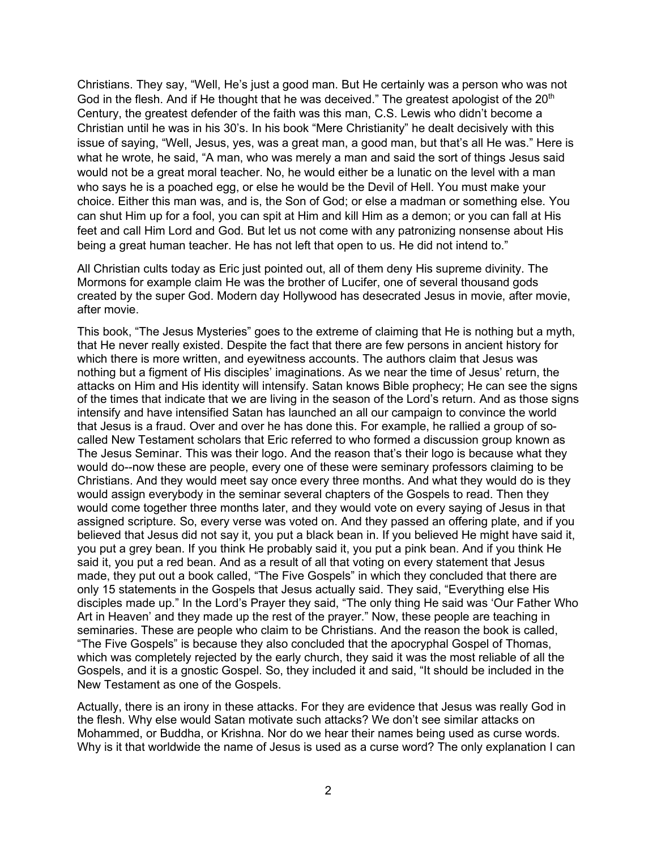Christians. They say, "Well, He's just a good man. But He certainly was a person who was not God in the flesh. And if He thought that he was deceived." The greatest apologist of the  $20<sup>th</sup>$ Century, the greatest defender of the faith was this man, C.S. Lewis who didn't become a Christian until he was in his 30's. In his book "Mere Christianity" he dealt decisively with this issue of saying, "Well, Jesus, yes, was a great man, a good man, but that's all He was." Here is what he wrote, he said, "A man, who was merely a man and said the sort of things Jesus said would not be a great moral teacher. No, he would either be a lunatic on the level with a man who says he is a poached egg, or else he would be the Devil of Hell. You must make your choice. Either this man was, and is, the Son of God; or else a madman or something else. You can shut Him up for a fool, you can spit at Him and kill Him as a demon; or you can fall at His feet and call Him Lord and God. But let us not come with any patronizing nonsense about His being a great human teacher. He has not left that open to us. He did not intend to."

All Christian cults today as Eric just pointed out, all of them deny His supreme divinity. The Mormons for example claim He was the brother of Lucifer, one of several thousand gods created by the super God. Modern day Hollywood has desecrated Jesus in movie, after movie, after movie.

This book, "The Jesus Mysteries" goes to the extreme of claiming that He is nothing but a myth, that He never really existed. Despite the fact that there are few persons in ancient history for which there is more written, and eyewitness accounts. The authors claim that Jesus was nothing but a figment of His disciples' imaginations. As we near the time of Jesus' return, the attacks on Him and His identity will intensify. Satan knows Bible prophecy; He can see the signs of the times that indicate that we are living in the season of the Lord's return. And as those signs intensify and have intensified Satan has launched an all our campaign to convince the world that Jesus is a fraud. Over and over he has done this. For example, he rallied a group of socalled New Testament scholars that Eric referred to who formed a discussion group known as The Jesus Seminar. This was their logo. And the reason that's their logo is because what they would do--now these are people, every one of these were seminary professors claiming to be Christians. And they would meet say once every three months. And what they would do is they would assign everybody in the seminar several chapters of the Gospels to read. Then they would come together three months later, and they would vote on every saying of Jesus in that assigned scripture. So, every verse was voted on. And they passed an offering plate, and if you believed that Jesus did not say it, you put a black bean in. If you believed He might have said it, you put a grey bean. If you think He probably said it, you put a pink bean. And if you think He said it, you put a red bean. And as a result of all that voting on every statement that Jesus made, they put out a book called, "The Five Gospels" in which they concluded that there are only 15 statements in the Gospels that Jesus actually said. They said, "Everything else His disciples made up." In the Lord's Prayer they said, "The only thing He said was 'Our Father Who Art in Heaven' and they made up the rest of the prayer." Now, these people are teaching in seminaries. These are people who claim to be Christians. And the reason the book is called, "The Five Gospels" is because they also concluded that the apocryphal Gospel of Thomas, which was completely rejected by the early church, they said it was the most reliable of all the Gospels, and it is a gnostic Gospel. So, they included it and said, "It should be included in the New Testament as one of the Gospels.

Actually, there is an irony in these attacks. For they are evidence that Jesus was really God in the flesh. Why else would Satan motivate such attacks? We don't see similar attacks on Mohammed, or Buddha, or Krishna. Nor do we hear their names being used as curse words. Why is it that worldwide the name of Jesus is used as a curse word? The only explanation I can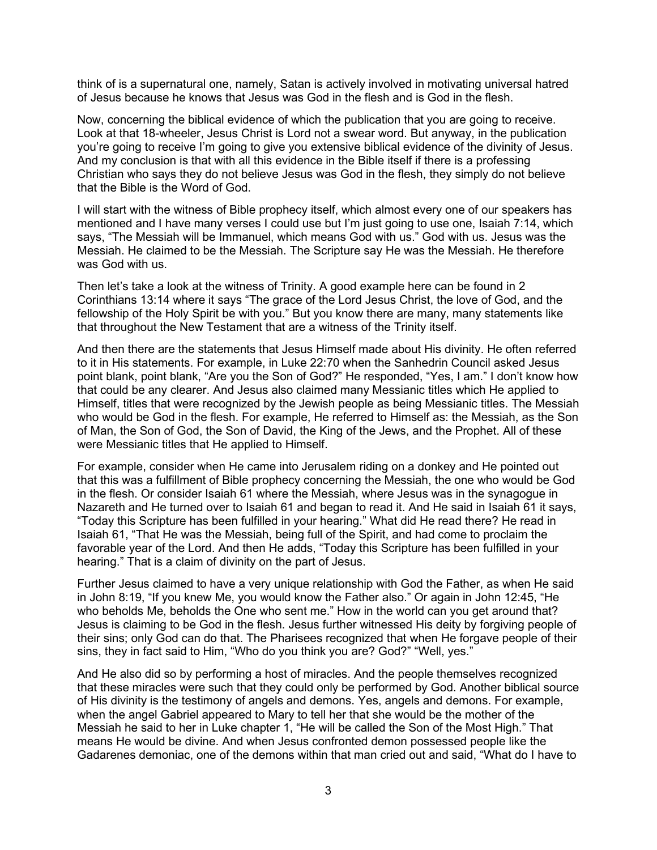think of is a supernatural one, namely, Satan is actively involved in motivating universal hatred of Jesus because he knows that Jesus was God in the flesh and is God in the flesh.

Now, concerning the biblical evidence of which the publication that you are going to receive. Look at that 18-wheeler, Jesus Christ is Lord not a swear word. But anyway, in the publication you're going to receive I'm going to give you extensive biblical evidence of the divinity of Jesus. And my conclusion is that with all this evidence in the Bible itself if there is a professing Christian who says they do not believe Jesus was God in the flesh, they simply do not believe that the Bible is the Word of God.

I will start with the witness of Bible prophecy itself, which almost every one of our speakers has mentioned and I have many verses I could use but I'm just going to use one, Isaiah 7:14, which says, "The Messiah will be Immanuel, which means God with us." God with us. Jesus was the Messiah. He claimed to be the Messiah. The Scripture say He was the Messiah. He therefore was God with us.

Then let's take a look at the witness of Trinity. A good example here can be found in 2 Corinthians 13:14 where it says "The grace of the Lord Jesus Christ, the love of God, and the fellowship of the Holy Spirit be with you." But you know there are many, many statements like that throughout the New Testament that are a witness of the Trinity itself.

And then there are the statements that Jesus Himself made about His divinity. He often referred to it in His statements. For example, in Luke 22:70 when the Sanhedrin Council asked Jesus point blank, point blank, "Are you the Son of God?" He responded, "Yes, I am." I don't know how that could be any clearer. And Jesus also claimed many Messianic titles which He applied to Himself, titles that were recognized by the Jewish people as being Messianic titles. The Messiah who would be God in the flesh. For example, He referred to Himself as: the Messiah, as the Son of Man, the Son of God, the Son of David, the King of the Jews, and the Prophet. All of these were Messianic titles that He applied to Himself.

For example, consider when He came into Jerusalem riding on a donkey and He pointed out that this was a fulfillment of Bible prophecy concerning the Messiah, the one who would be God in the flesh. Or consider Isaiah 61 where the Messiah, where Jesus was in the synagogue in Nazareth and He turned over to Isaiah 61 and began to read it. And He said in Isaiah 61 it says, "Today this Scripture has been fulfilled in your hearing." What did He read there? He read in Isaiah 61, "That He was the Messiah, being full of the Spirit, and had come to proclaim the favorable year of the Lord. And then He adds, "Today this Scripture has been fulfilled in your hearing." That is a claim of divinity on the part of Jesus.

Further Jesus claimed to have a very unique relationship with God the Father, as when He said in John 8:19, "If you knew Me, you would know the Father also." Or again in John 12:45, "He who beholds Me, beholds the One who sent me." How in the world can you get around that? Jesus is claiming to be God in the flesh. Jesus further witnessed His deity by forgiving people of their sins; only God can do that. The Pharisees recognized that when He forgave people of their sins, they in fact said to Him, "Who do you think you are? God?" "Well, yes."

And He also did so by performing a host of miracles. And the people themselves recognized that these miracles were such that they could only be performed by God. Another biblical source of His divinity is the testimony of angels and demons. Yes, angels and demons. For example, when the angel Gabriel appeared to Mary to tell her that she would be the mother of the Messiah he said to her in Luke chapter 1, "He will be called the Son of the Most High." That means He would be divine. And when Jesus confronted demon possessed people like the Gadarenes demoniac, one of the demons within that man cried out and said, "What do I have to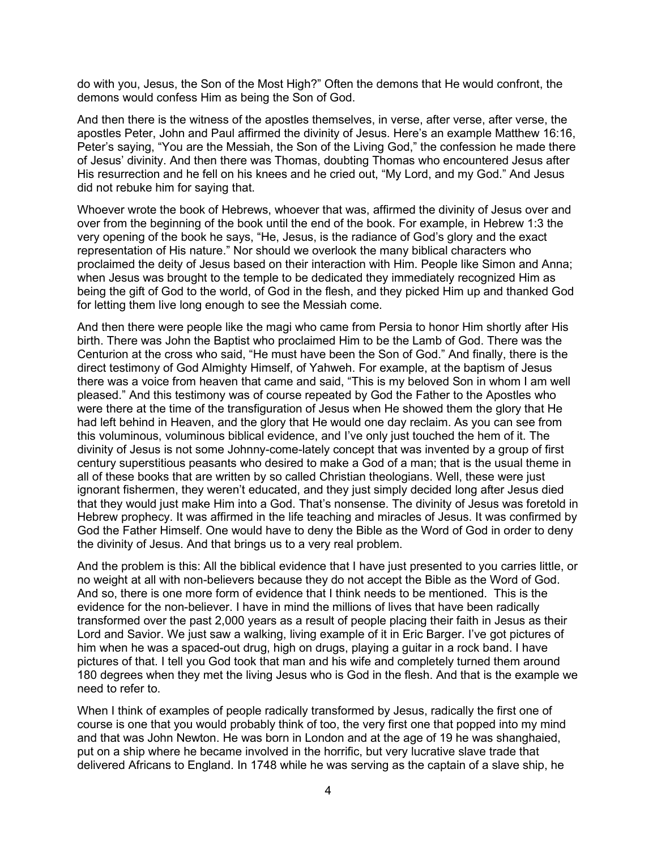do with you, Jesus, the Son of the Most High?" Often the demons that He would confront, the demons would confess Him as being the Son of God.

And then there is the witness of the apostles themselves, in verse, after verse, after verse, the apostles Peter, John and Paul affirmed the divinity of Jesus. Here's an example Matthew 16:16, Peter's saying, "You are the Messiah, the Son of the Living God," the confession he made there of Jesus' divinity. And then there was Thomas, doubting Thomas who encountered Jesus after His resurrection and he fell on his knees and he cried out, "My Lord, and my God." And Jesus did not rebuke him for saying that.

Whoever wrote the book of Hebrews, whoever that was, affirmed the divinity of Jesus over and over from the beginning of the book until the end of the book. For example, in Hebrew 1:3 the very opening of the book he says, "He, Jesus, is the radiance of God's glory and the exact representation of His nature." Nor should we overlook the many biblical characters who proclaimed the deity of Jesus based on their interaction with Him. People like Simon and Anna; when Jesus was brought to the temple to be dedicated they immediately recognized Him as being the gift of God to the world, of God in the flesh, and they picked Him up and thanked God for letting them live long enough to see the Messiah come.

And then there were people like the magi who came from Persia to honor Him shortly after His birth. There was John the Baptist who proclaimed Him to be the Lamb of God. There was the Centurion at the cross who said, "He must have been the Son of God." And finally, there is the direct testimony of God Almighty Himself, of Yahweh. For example, at the baptism of Jesus there was a voice from heaven that came and said, "This is my beloved Son in whom I am well pleased." And this testimony was of course repeated by God the Father to the Apostles who were there at the time of the transfiguration of Jesus when He showed them the glory that He had left behind in Heaven, and the glory that He would one day reclaim. As you can see from this voluminous, voluminous biblical evidence, and I've only just touched the hem of it. The divinity of Jesus is not some Johnny-come-lately concept that was invented by a group of first century superstitious peasants who desired to make a God of a man; that is the usual theme in all of these books that are written by so called Christian theologians. Well, these were just ignorant fishermen, they weren't educated, and they just simply decided long after Jesus died that they would just make Him into a God. That's nonsense. The divinity of Jesus was foretold in Hebrew prophecy. It was affirmed in the life teaching and miracles of Jesus. It was confirmed by God the Father Himself. One would have to deny the Bible as the Word of God in order to deny the divinity of Jesus. And that brings us to a very real problem.

And the problem is this: All the biblical evidence that I have just presented to you carries little, or no weight at all with non-believers because they do not accept the Bible as the Word of God. And so, there is one more form of evidence that I think needs to be mentioned. This is the evidence for the non-believer. I have in mind the millions of lives that have been radically transformed over the past 2,000 years as a result of people placing their faith in Jesus as their Lord and Savior. We just saw a walking, living example of it in Eric Barger. I've got pictures of him when he was a spaced-out drug, high on drugs, playing a guitar in a rock band. I have pictures of that. I tell you God took that man and his wife and completely turned them around 180 degrees when they met the living Jesus who is God in the flesh. And that is the example we need to refer to.

When I think of examples of people radically transformed by Jesus, radically the first one of course is one that you would probably think of too, the very first one that popped into my mind and that was John Newton. He was born in London and at the age of 19 he was shanghaied, put on a ship where he became involved in the horrific, but very lucrative slave trade that delivered Africans to England. In 1748 while he was serving as the captain of a slave ship, he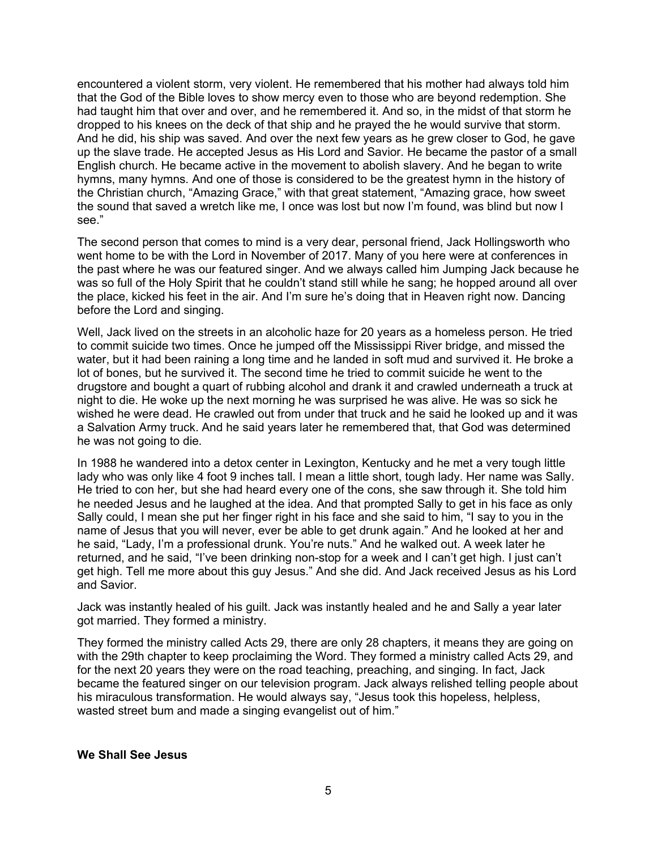encountered a violent storm, very violent. He remembered that his mother had always told him that the God of the Bible loves to show mercy even to those who are beyond redemption. She had taught him that over and over, and he remembered it. And so, in the midst of that storm he dropped to his knees on the deck of that ship and he prayed the he would survive that storm. And he did, his ship was saved. And over the next few years as he grew closer to God, he gave up the slave trade. He accepted Jesus as His Lord and Savior. He became the pastor of a small English church. He became active in the movement to abolish slavery. And he began to write hymns, many hymns. And one of those is considered to be the greatest hymn in the history of the Christian church, "Amazing Grace," with that great statement, "Amazing grace, how sweet the sound that saved a wretch like me, I once was lost but now I'm found, was blind but now I see."

The second person that comes to mind is a very dear, personal friend, Jack Hollingsworth who went home to be with the Lord in November of 2017. Many of you here were at conferences in the past where he was our featured singer. And we always called him Jumping Jack because he was so full of the Holy Spirit that he couldn't stand still while he sang; he hopped around all over the place, kicked his feet in the air. And I'm sure he's doing that in Heaven right now. Dancing before the Lord and singing.

Well, Jack lived on the streets in an alcoholic haze for 20 years as a homeless person. He tried to commit suicide two times. Once he jumped off the Mississippi River bridge, and missed the water, but it had been raining a long time and he landed in soft mud and survived it. He broke a lot of bones, but he survived it. The second time he tried to commit suicide he went to the drugstore and bought a quart of rubbing alcohol and drank it and crawled underneath a truck at night to die. He woke up the next morning he was surprised he was alive. He was so sick he wished he were dead. He crawled out from under that truck and he said he looked up and it was a Salvation Army truck. And he said years later he remembered that, that God was determined he was not going to die.

In 1988 he wandered into a detox center in Lexington, Kentucky and he met a very tough little lady who was only like 4 foot 9 inches tall. I mean a little short, tough lady. Her name was Sally. He tried to con her, but she had heard every one of the cons, she saw through it. She told him he needed Jesus and he laughed at the idea. And that prompted Sally to get in his face as only Sally could, I mean she put her finger right in his face and she said to him, "I say to you in the name of Jesus that you will never, ever be able to get drunk again." And he looked at her and he said, "Lady, I'm a professional drunk. You're nuts." And he walked out. A week later he returned, and he said, "I've been drinking non-stop for a week and I can't get high. I just can't get high. Tell me more about this guy Jesus." And she did. And Jack received Jesus as his Lord and Savior.

Jack was instantly healed of his guilt. Jack was instantly healed and he and Sally a year later got married. They formed a ministry.

They formed the ministry called Acts 29, there are only 28 chapters, it means they are going on with the 29th chapter to keep proclaiming the Word. They formed a ministry called Acts 29, and for the next 20 years they were on the road teaching, preaching, and singing. In fact, Jack became the featured singer on our television program. Jack always relished telling people about his miraculous transformation. He would always say, "Jesus took this hopeless, helpless, wasted street bum and made a singing evangelist out of him."

#### **We Shall See Jesus**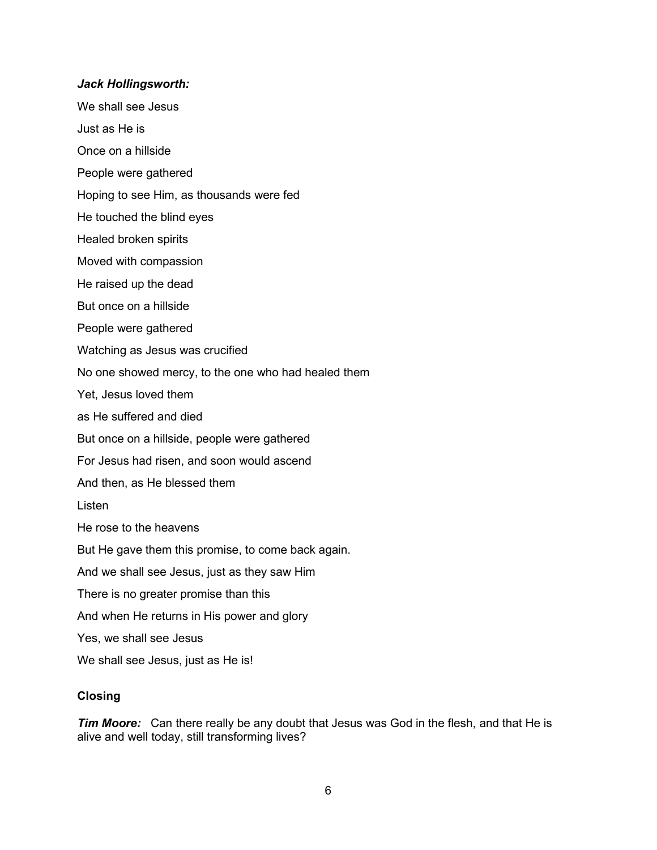#### *Jack Hollingsworth:*

- We shall see Jesus
- Just as He is
- Once on a hillside
- People were gathered
- Hoping to see Him, as thousands were fed
- He touched the blind eyes
- Healed broken spirits
- Moved with compassion
- He raised up the dead
- But once on a hillside
- People were gathered
- Watching as Jesus was crucified
- No one showed mercy, to the one who had healed them
- Yet, Jesus loved them
- as He suffered and died
- But once on a hillside, people were gathered
- For Jesus had risen, and soon would ascend
- And then, as He blessed them
- Listen
- He rose to the heavens
- But He gave them this promise, to come back again.
- And we shall see Jesus, just as they saw Him
- There is no greater promise than this
- And when He returns in His power and glory
- Yes, we shall see Jesus
- We shall see Jesus, just as He is!

#### **Closing**

*Tim Moore:* Can there really be any doubt that Jesus was God in the flesh, and that He is alive and well today, still transforming lives?